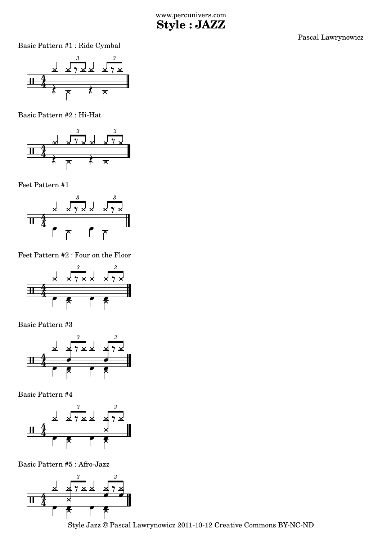Pascal Lawrynowicz

Basic Pattern #1 : Ride Cymbal



Basic Pattern #2 : Hi-Hat



Feet Pattern #1



Feet Pattern #2 : Four on the Floor



Basic Pattern #3



Basic Pattern #4



Basic Pattern #5 : Afro-Jazz



Style Jazz © Pascal Lawrynowicz 2011-10-12 Creative Commons BY-NC-ND